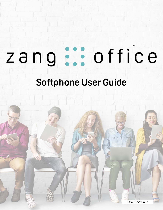### office zang

# **Softphone User Guide**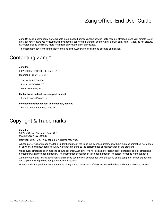### Zang Office: End-User Guide

Zang Office is a completely customizable cloud-based business phone service that's reliable, affordable and very simple to set up. Get every feature you need, including voicemail, call holding, transfer and forward, pickup, park, caller ID, fax, do not disturb, extension dialing and many more  $-$  all from any extension or any device.

This document covers the installation and use of the Zang Office softphone desktop application.

### Contacting Zang™

Zang Inc. 30 West Beaver Creek Rd., Suite 101 Richmond Hill, ON L4B 3K1

Tel: +1 905-707-9700 Fax: +1 905-707-9170 Web: www.zang.io

**For hardware and software support, contact**:

E-mail: support@zang.io

**For documentation request and feedback, contact**:

E-mail: documentation@zang.io

### Copyright & Trademarks

#### **Zang Inc.**

*30 West Beaver Creek Rd., Suite 101 Richmond Hill, ON L4B 3K1*

Copyright © 2016-2017 by Zang Inc. All rights reserved.

All Zang offerings are made available under the terms of the Zang Inc. license agreement without express or implied warranties of any sort, including, specifically, any warranties relating to the performance or maintenance of the program.

While every effort has been made to ensure accuracy, Zang Inc. will not be liable for technical or editorial errors or omissions contained within the documentation. The information contained in this documentation is subject to change without notice.

Zang software and related documentation may be used only in accordance with the terms of the Zang Inc. license agreement and copied only to provide adequate backup protection.

Other brands and products are trademarks or registered trademarks of their respective holders and should be noted as such.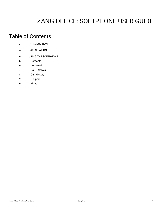### ZANG OFFICE: SOFTPHONE USER GUIDE

### Table of Contents

| 3 | <b>INTRODUCTION</b> |
|---|---------------------|
|---|---------------------|

- [4 INSTALLATION](#page-5-0)
- [6 USING THE SOFTPHONE](#page-7-0)
- [6 Contacts](#page-7-1)
- [6 Voicemail](#page-7-2)
- [7 Call Controls](#page-8-0)
- [8 Call History](#page-9-0)
- [9 Dialpad](#page-10-0)
- [9 Menu](#page-10-1)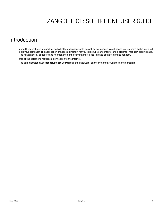### <span id="page-4-1"></span>ZANG OFFICE: SOFTPHONE USER GUIDE

#### <span id="page-4-0"></span>Introduction

Zang Office includes support for both desktop telephone sets, as well as softphones. A softphone is a program that is installed onto your computer. The application provides a directory for you to lookup your contacts, and a dialer for manually placing calls. The headphones / speakers and microphone on the computer are used in place of the telephone handset.

Use of the softphone requires a connection to the Internet.

The administrator must **first setup each user** (email and password) on the system through the admin program.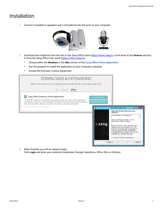### <span id="page-5-0"></span>Installation

**1.** Connect a headset or speakers and a microphone into the ports of your computer.



- **2.** Download the softphone from the link on the Zang Office store [\(https://store.zang.io,](https://store.zang.io) scroll down to the **Devices** [section\),](https://office.zang.io)  [or from the Zang Office User panel \(h](https://office.zang.io)ttps://office.zang.io).
	- Choose either the **Windows** or the **Mac** version of the **Zang Office Phone Application**.
	- Run the program to install the application to your computer's desktop.
	- Accept the End-User License Agreement.

| <b>DOWNLOADS &amp; EXTENSIONS</b><br>Make the most of your Zang products with these must have add-ons!                                                                                                                                                                                                                                                                                                                                                                                  |                                                                                                                                                                                                                                                                                                                                                                                                                                                                                                                                        |
|-----------------------------------------------------------------------------------------------------------------------------------------------------------------------------------------------------------------------------------------------------------------------------------------------------------------------------------------------------------------------------------------------------------------------------------------------------------------------------------------|----------------------------------------------------------------------------------------------------------------------------------------------------------------------------------------------------------------------------------------------------------------------------------------------------------------------------------------------------------------------------------------------------------------------------------------------------------------------------------------------------------------------------------------|
| Office<br>All<br><b>Spaces</b>                                                                                                                                                                                                                                                                                                                                                                                                                                                          |                                                                                                                                                                                                                                                                                                                                                                                                                                                                                                                                        |
| Zang Office Desktop Phone Application<br><b>Download for Mac</b><br>The Zang Office softphone includes all the communication features you would come to expect right on<br>your desktop or mobile device. Take advantage of all the great Zang Office features without breaking the<br><b>Download for Windows</b><br>bank as the Zang Office softphone is included for free with your Zang Office subscription!<br>Minimum Requirements: Mac OS 10+, Windows 7+<br>谒<br>≷zang<br>Print | $-1$<br>$\mathbf{x}$<br>Zang Office App Setup<br>Please read the Zang Office App License<br><b>Agreement</b><br>Zang End-User License Agreement<br>Revised and effective October 12, 2016<br>Read Carefully Before Accepting<br>THIS SOFTWARE CANNOT BE DEPLOYED<br>UNLESS YOU, THE "LICENSEE" OR "YOU",<br>ACCEPT THE TERMS AND CONDITIONS OF<br>THIS END USER LICENSE AGREEMENT<br>("AGREEMENT") BY CLICKING THE "ACCEPT<br>ICON BELOW. PLEASE READ THIS<br>I accept the terms in the License Agreement<br>Back<br>Install<br>Cancel |

**3.** When finished, you will be asked to login. Click **Login** and enter your preferred credentials (Google, Salesforce, Office 365, or OnEsna).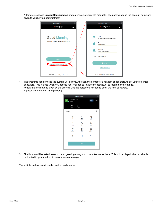

Alternately, choose **Explicit Configuration** and enter your credentials manually. The password and the account name are given to you by your administrator.

**4.** The first time you connect, the system will ask you, through the computer's headset or speakers, to set your voicemail password. This is used when you access your mailbox to retrieve messages, or to record new greetings. Follow the instructions given by the system. Use the softphone keypad to enter the new password. A password must be **1-5 digits** long.

|                                                                | Zang Office App    |                         | $\times$ |
|----------------------------------------------------------------|--------------------|-------------------------|----------|
| David Innes<br>$\overline{D}$<br>$\tilde{\phantom{a}}$<br>2345 |                    | $\overline{\mathbf{c}}$ |          |
|                                                                |                    |                         |          |
| 12345                                                          |                    |                         | L        |
|                                                                | $2$ <sub>ABC</sub> | 3 <sub>DEF</sub>        |          |
| 4<br>GHI                                                       | $\overline{5}$     | 6<br>MNO                |          |
| 7<br>PQRS                                                      | 8 <sub>TUV</sub>   | 9 <sub>wXYZ</sub>       |          |
| $\star$                                                        | Э                  | #                       |          |
|                                                                | Call               |                         |          |
|                                                                |                    |                         |          |

**5.** Finally, you will be asked to record your greeting using your computer microphone. This will be played when a caller is redirected to your mailbox to leave a voice message.

The softphone has been installed and is ready to use.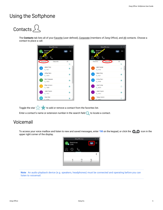### <span id="page-7-0"></span>Using the Softphone

## <span id="page-7-1"></span>Contacts  $2$

The **Contacts** tab lists all of your **Favorite** (user defined), Corporate (members of Zang Office), and All contacts. Choose a contact to place a call.



Toggle the star to add or remove a contact from the favorites list.

Enter a contact's name or extension number in the search field  $\bullet$  to locate a contact.

#### <span id="page-7-2"></span>Voicemail

To access your voice mailbox and listen to new and saved messages, enter  $*98$  on the keypad, or click the  $\bigcirc$   $\bigcirc$  icon in the upper right corner of the display.



**Note**: An audio playback device (e.g. speakers, headphones) must be connected and operating before you can listen to voicemail.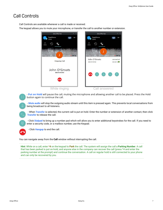#### <span id="page-8-0"></span>Call Controls

Call Controls are available whenever a call is made or received.

The keypad allows you to mute your microphone, or transfer the call to another number or extension.



- **Put on Hold** will pause the call, muting the microphone and allowing another call to be placed. Press the Hold button again to continue the call.

 - **Mute audio** will stop the outgoing audio stream until this item is pressed again. This prevents local conversations from being broadcast to all listeners.

 - When **Transfer** is selected, the current call is put on hold. Enter the number or extension of another contact, then click **Transfer** to release the call.

 - Click **Dialpad** to bring up a number pad which will allow you to enter additional keystrokes for the call. If you need to enter a security code, or a mailbox number, use the Keypad.



- Click **Hangup** to end the call.

You can navigate away from the **Call** window without interrupting the call.

**Hint**: While on a call, enter **\*4** on the keypad to **Park** the call. The system will assign the call a **Parking Number**. A call that has been parked is put on-hold, and anyone else in the company can recover the call (press \*4 and enter the parking number at the prompt) and continue the conversation. A call on regular hold is still connected to your phone and can only be recovered by you.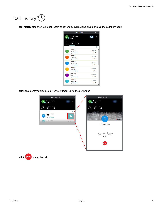<span id="page-9-0"></span>

**Call history** displays your most recent telephone conversations, and allows you to call them back.



Click on an entry to place a call to that number using the softphone.



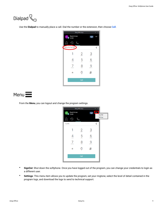<span id="page-10-0"></span>

Use the **Dialpad** to manually place a call. Dial the number or the extension, then choose **Call**.



<span id="page-10-1"></span>Menu<sup>I</sup>

From the **Menu**, you can logout and change the program settings.

|           | Zang Office App |                  |                  | $\times$                   |
|-----------|-----------------|------------------|------------------|----------------------------|
| D<br>2345 | David Innes     |                  | $\infty$         | le :                       |
|           |                 |                  |                  | <b>SignOut</b><br>Settings |
|           |                 |                  |                  |                            |
| 12345     |                 |                  |                  | ૮                          |
|           |                 | 2                | 3 <sub>DEF</sub> |                            |
| GHI       |                 | 5 <sub>5</sub>   | 6<br>MNO         |                            |
| PORS      |                 | 8 <sub>TUV</sub> | <b>WXYZ</b>      |                            |
| $^\star$  |                 | $\mathcal{O}$    | #                |                            |
|           |                 | Call             |                  |                            |
|           |                 |                  |                  |                            |

- **SignOut**: Shut down the softphone. Once you have logged out of the program, you can change your credentials to login as a different user.
- **Settings**: This menu item allows you to update the program, set your ringtone, select the level of detail contained in the program logs, and download the logs to send to technical support.